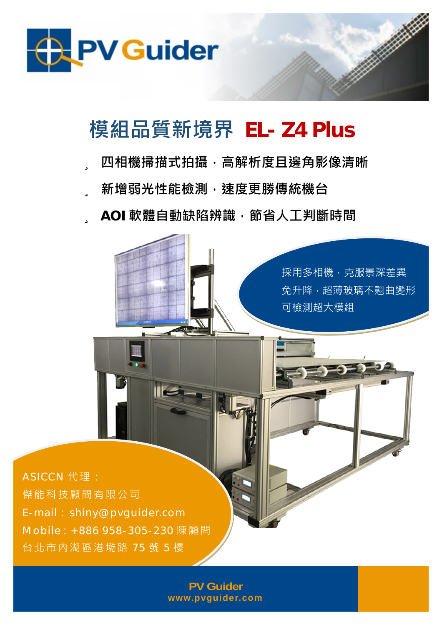

## **模組品質新境界 EL- Z4 Plus**

- ü **四相機掃描式拍攝,高解析度且邊角影像清晰**
- ü **新增弱光性能檢測,速度更勝傳統機台**

ü **AOI 軟體自動缺陷辨識,節省人工判斷時間**



**PV Guider [www.pvguider.com](http://www.pvguider.com)**